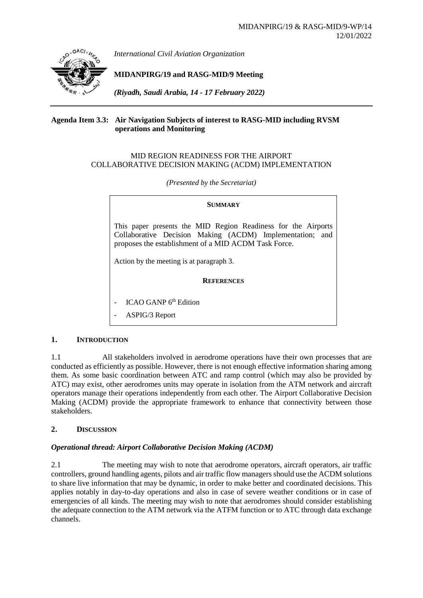

*International Civil Aviation Organization*

**MIDANPIRG/19 and RASG-MID/9 Meeting**

*(Riyadh, Saudi Arabia, 14 - 17 February 2022)*

### **Agenda Item 3.3: Air Navigation Subjects of interest to RASG-MID including RVSM operations and Monitoring**

### MID REGION READINESS FOR THE AIRPORT COLLABORATIVE DECISION MAKING (ACDM) IMPLEMENTATION

*(Presented by the Secretariat)*

| <b>SUMMARY</b>                                                                                                                                                                                                                |  |  |  |  |  |  |  |  |  |
|-------------------------------------------------------------------------------------------------------------------------------------------------------------------------------------------------------------------------------|--|--|--|--|--|--|--|--|--|
| This paper presents the MID Region Readiness for the Airports<br>Collaborative Decision Making (ACDM) Implementation; and<br>proposes the establishment of a MID ACDM Task Force.<br>Action by the meeting is at paragraph 3. |  |  |  |  |  |  |  |  |  |
| <b>REFERENCES</b>                                                                                                                                                                                                             |  |  |  |  |  |  |  |  |  |
| - ICAO GANP 6th Edition                                                                                                                                                                                                       |  |  |  |  |  |  |  |  |  |

ASPIG/3 Report

### **1. INTRODUCTION**

1.1 All stakeholders involved in aerodrome operations have their own processes that are conducted as efficiently as possible. However, there is not enough effective information sharing among them. As some basic coordination between ATC and ramp control (which may also be provided by ATC) may exist, other aerodromes units may operate in isolation from the ATM network and aircraft operators manage their operations independently from each other. The Airport Collaborative Decision Making (ACDM) provide the appropriate framework to enhance that connectivity between those stakeholders.

### **2. DISCUSSION**

#### *Operational thread: Airport Collaborative Decision Making (ACDM)*

2.1 The meeting may wish to note that aerodrome operators, aircraft operators, air traffic controllers, ground handling agents, pilots and air traffic flow managers should use the ACDM solutions to share live information that may be dynamic, in order to make better and coordinated decisions. This applies notably in day-to-day operations and also in case of severe weather conditions or in case of emergencies of all kinds. The meeting may wish to note that aerodromes should consider establishing the adequate connection to the ATM network via the ATFM function or to ATC through data exchange channels.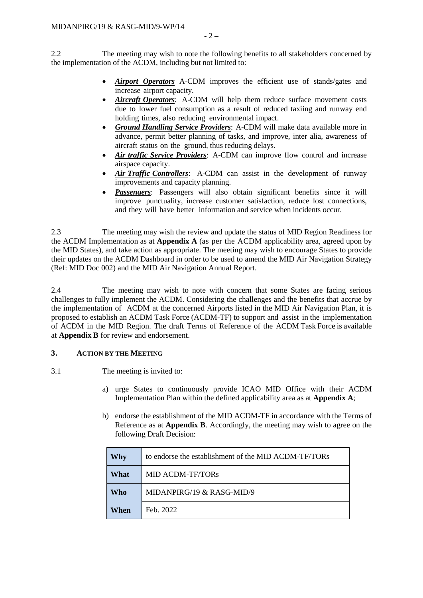2.2 The meeting may wish to note the following benefits to all stakeholders concerned by the implementation of the ACDM, including but not limited to:

- *Airport Operators* A-CDM improves the efficient use of stands/gates and increase airport capacity.
- *Aircraft Operators*: A-CDM will help them reduce surface movement costs due to lower fuel consumption as a result of reduced taxiing and runway end holding times, also reducing environmental impact.
- *Ground Handling Service Providers*: A-CDM will make data available more in advance, permit better planning of tasks, and improve, inter alia, awareness of aircraft status on the ground, thus reducing delays.
- *Air traffic Service Providers*: A-CDM can improve flow control and increase airspace capacity.
- *Air Traffic Controllers*: A-CDM can assist in the development of runway improvements and capacity planning.
- **Passengers**: Passengers will also obtain significant benefits since it will improve punctuality, increase customer satisfaction, reduce lost connections, and they will have better information and service when incidents occur.

2.3 The meeting may wish the review and update the status of MID Region Readiness for the ACDM Implementation as at **Appendix A** (as per the ACDM applicability area, agreed upon by the MID States), and take action as appropriate. The meeting may wish to encourage States to provide their updates on the ACDM Dashboard in order to be used to amend the MID Air Navigation Strategy (Ref: MID Doc 002) and the MID Air Navigation Annual Report.

2.4 The meeting may wish to note with concern that some States are facing serious challenges to fully implement the ACDM. Considering the challenges and the benefits that accrue by the implementation of ACDM at the concerned Airports listed in the MID Air Navigation Plan, it is proposed to establish an ACDM Task Force (ACDM-TF) to support and assist in the implementation of ACDM in the MID Region. The draft Terms of Reference of the ACDM Task Force is available at **Appendix B** for review and endorsement.

### **3. ACTION BY THE MEETING**

- 3.1 The meeting is invited to:
	- a) urge States to continuously provide ICAO MID Office with their ACDM Implementation Plan within the defined applicability area as at **Appendix A**;
	- b) endorse the establishment of the MID ACDM-TF in accordance with the Terms of Reference as at **Appendix B**. Accordingly, the meeting may wish to agree on the following Draft Decision:

| Why        | to endorse the establishment of the MID ACDM-TF/TORs |  |  |  |  |  |  |  |  |
|------------|------------------------------------------------------|--|--|--|--|--|--|--|--|
| What       | <b>MID ACDM-TF/TORs</b>                              |  |  |  |  |  |  |  |  |
| <b>Who</b> | MIDANPIRG/19 $&$ RASG-MID/9                          |  |  |  |  |  |  |  |  |
| When       | Feb. 2022                                            |  |  |  |  |  |  |  |  |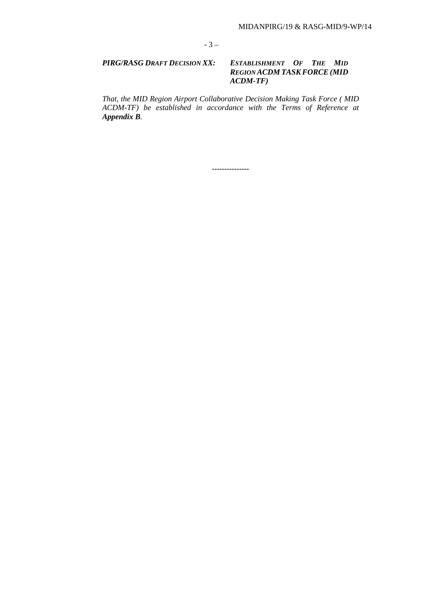### *PIRG/RASG DRAFT DECISION XX: ESTABLISHMENT OF THE MID REGION ACDM TASKFORCE(MID ACDM-TF)*

*That, the MID Region Airport Collaborative Decision Making Task Force ( MID ACDM-TF) be established in accordance with the Terms of Reference at Appendix B.*

**---------------**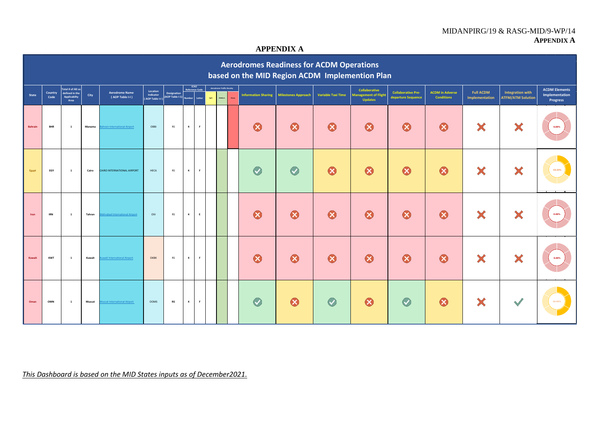### MIDANPIRG/19 & RASG-MID/9-WP/14 **APPENDIX A**

## **APPENDIX A**

|                | <b>Aerodromes Readiness for ACDM Operations</b><br>based on the MID Region ACDM Implemention Plan |                                                            |        |                                          |                                          |                                       |                |                                           |                                                   |              |                            |                            |                           |                                                                |                                                 |                                             |                                    |                                                     |                                                    |
|----------------|---------------------------------------------------------------------------------------------------|------------------------------------------------------------|--------|------------------------------------------|------------------------------------------|---------------------------------------|----------------|-------------------------------------------|---------------------------------------------------|--------------|----------------------------|----------------------------|---------------------------|----------------------------------------------------------------|-------------------------------------------------|---------------------------------------------|------------------------------------|-----------------------------------------------------|----------------------------------------------------|
| <b>State</b>   | Country<br>Code                                                                                   | Total # of AD as<br>defined in the<br>Applicabilty<br>Area | City   | <b>Aerodrome Name</b><br>(AOP Table I-I) | Location<br>Indicator<br>(AOP Table I-I) | Designation<br>(AOP Table I-1) Number |                | ICAO<br>Reference Code<br>ught.<br>Letter | <b>Aerodrome Traffic Density</b><br><b>Medium</b> | <b>Heavy</b> | <b>Information Sharing</b> | <b>Milestones Approach</b> | <b>Variable Taxi Time</b> | Collaborative<br><b>Management of Flight</b><br><b>Updates</b> | <b>Collaborative Pre-</b><br>departure Sequence | <b>ACDM</b> in Adverse<br><b>Conditions</b> | <b>Full ACDM</b><br>Implementation | <b>Integration with</b><br><b>ATFM/ATM Solution</b> | <b>ACDM Elements</b><br>Implementation<br>Progress |
| <b>Bahrain</b> | <b>BHR</b>                                                                                        | $\mathbf{1}$                                               | Manama | ahrain International Airport             | OBBI                                     | <b>RS</b>                             | $\overline{4}$ | $\mathsf F$                               |                                                   |              | $\boldsymbol{\Omega}$      | $\boldsymbol{\Omega}$      | 0                         | $\bullet$                                                      | 0                                               | $\boldsymbol{\Omega}$                       | ×                                  | X                                                   | 0.00%                                              |
| Egypt          | EGY                                                                                               | $\mathbf{1}$                                               | Cairo  | CAIRO INTERNATIONAL AIRPORT              | HECA                                     | <b>RS</b>                             | $\overline{a}$ | F.                                        |                                                   |              | $\bullet$                  | $\bullet$                  | $\boldsymbol{\Omega}$     | ⊗                                                              | $\boldsymbol{\Omega}$                           | $\boldsymbol{\Omega}$                       | ×                                  | ×                                                   | 33.33%                                             |
| Iran           | <b>IRN</b>                                                                                        | $\mathbf{1}$                                               | Tahran | ehrabad International Airport            | OIII                                     | <b>RS</b>                             | 4              | E                                         |                                                   |              | $\boldsymbol{\Omega}$      | $\boldsymbol{\Omega}$      | $\bullet$                 | $\boldsymbol{\Omega}$                                          | $\bullet$                                       | $\boldsymbol{\Omega}$                       | X                                  | ×                                                   | 0.00%                                              |
| Kuwait         | <b>KWT</b>                                                                                        | $\mathbf{1}$                                               | Kuwait | wait International Airport               | OKBK                                     | <b>RS</b>                             | 4              | F                                         |                                                   |              | $\odot$                    | $\boldsymbol{\Omega}$      | $\odot$                   | $\boldsymbol{\Omega}$                                          | 0                                               | $\boldsymbol{\Omega}$                       | ×                                  | ×                                                   | 0.00%                                              |
| Oman           | OMN                                                                                               | $\mathbf{1}$                                               | Muscat | uscat International Airport              | <b>OOMS</b>                              | <b>RS</b>                             | $\overline{4}$ | F.                                        |                                                   |              | $\bullet$                  | $\boldsymbol{\Omega}$      | $\bullet$                 | ⊗                                                              | $\bullet$                                       | $\boldsymbol{\Omega}$                       | X                                  | $\sim$                                              |                                                    |

*This Dashboard is based on the MID States inputs as of December2021.*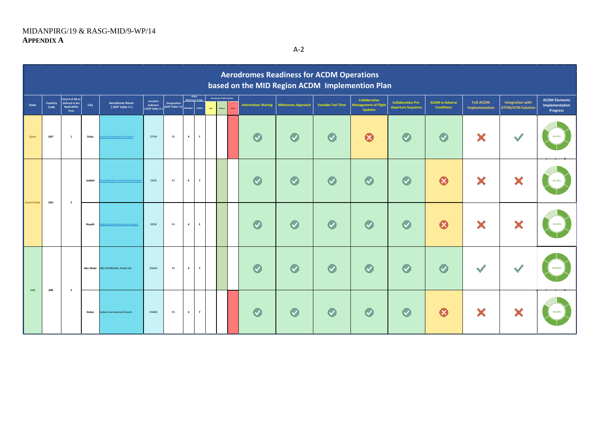A-2

|                     | <b>Aerodromes Readiness for ACDM Operations</b><br>based on the MID Region ACDM Implemention Plan |                                                            |        |                                          |                                          |                                       |                                      |             |                                                   |              |                            |                            |                           |                                                                |                                                 |                                             |                                    |                                                     |                                                    |
|---------------------|---------------------------------------------------------------------------------------------------|------------------------------------------------------------|--------|------------------------------------------|------------------------------------------|---------------------------------------|--------------------------------------|-------------|---------------------------------------------------|--------------|----------------------------|----------------------------|---------------------------|----------------------------------------------------------------|-------------------------------------------------|---------------------------------------------|------------------------------------|-----------------------------------------------------|----------------------------------------------------|
| State               | Country<br>Code                                                                                   | Total # of AD as<br>defined in the<br>Applicabilty<br>Area | City   | <b>Aerodrome Name</b><br>(AOP Table I-I) | Location<br>Indicator<br>(AOP Table I-I) | Designation<br>(AOP Table I-1) Number | <b>ICAO</b><br><b>Reference Code</b> | Letter      | <b>Aerodrome Traffic Density</b><br>Medium<br>uge | <b>Heavy</b> | <b>Information Sharing</b> | <b>Milestones Approach</b> | <b>Variable Taxi Time</b> | Collaborative<br><b>Management of Flight</b><br><b>Updates</b> | <b>Collaborative Pre-</b><br>departure Sequence | <b>ACDM</b> in Adverse<br><b>Conditions</b> | <b>Full ACDM</b><br>Implementation | <b>Integration with</b><br><b>ATFM/ATM Solution</b> | <b>ACDM Elements</b><br>Implementation<br>Progress |
| Qatar               | QAT                                                                                               | $\mathbf{1}$                                               | Duha   | mad International Airport                | OTHH                                     | <b>RS</b>                             | $\overline{a}$                       | F           |                                                   |              | $\bullet$                  | $\bullet$                  | $\bullet$                 | ❸                                                              | $\bullet$                                       | $\bullet$                                   | ×                                  | V                                                   | 83.33%                                             |
|                     |                                                                                                   |                                                            | Jeddah | ng Abdulaziz International Airpo         | OEJN                                     | RS                                    | $\overline{4}$                       | F           |                                                   |              | $\bullet$                  | $\bullet$                  | $\bullet$                 | $\bullet$                                                      | $\bullet$                                       | $\boldsymbol{\Omega}$                       | ×                                  | ×                                                   | 83.33%                                             |
| Saudi Arabia<br>SAU |                                                                                                   | $\overline{2}$                                             | Riyadh | ng Khalid International Airport          | OERK                                     | <b>RS</b>                             | $\overline{4}$                       | E           |                                                   |              | $\bullet$                  | $\bullet$                  | $\bullet$                 | $\bullet$                                                      | $\bullet$                                       | $\boldsymbol{\Omega}$                       | X                                  | ×                                                   | 83.33%                                             |
|                     |                                                                                                   |                                                            |        | Abu Dhabi ABU DHABI/Abu Dhabi Intl       | OMAA                                     | <b>RS</b>                             | $\overline{a}$                       | $\mathsf F$ |                                                   |              | $\bullet$                  | $\bullet$                  | $\bullet$                 | $\bullet$                                                      | $\bullet$                                       | $\bullet$                                   | $\sqrt{2}$                         |                                                     | 100.00%                                            |
| <b>UAE</b>          | ARE                                                                                               | $\overline{2}$                                             | Dubai  | Jubai International Airport              | OMBD                                     | RS                                    | $\overline{a}$                       | $\mathsf F$ |                                                   |              | $\bullet$                  | $\bullet$                  | $\bullet$                 | $\bullet$                                                      | $\bullet$                                       | $\boldsymbol{\Omega}$                       | ×                                  | ×                                                   | 83.33%                                             |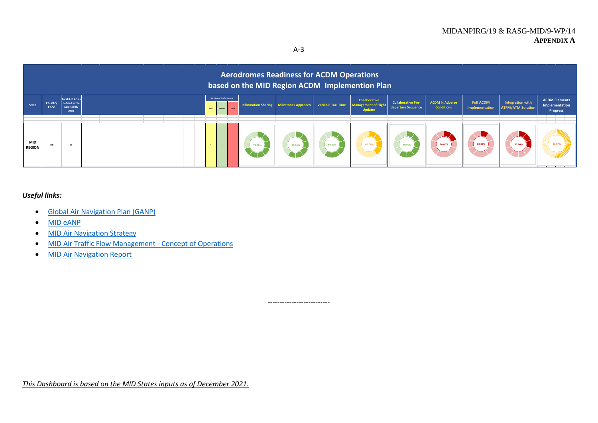A-3



--------------------------

### *Useful links:*

- [Global Air Navigation Plan \(GANP\)](https://www.icao.int/airnavigation/Pages/GANP-Resources.aspx)
- [MID eANP](https://www.icao.int/MID/MIDANPIRG/Pages/MID-eANP.aspx)
- [MID Air Navigation Strategy](https://www.icao.int/MID/MIDANPIRG/Documents/eDocuments/MID%20Doc%20002%20-%20MID%20Air%20Navigation%20Strategy%20-%20Feb%202021.pdf)
- [MID Air Traffic Flow Management -](https://www.icao.int/MID/MIDANPIRG/Documents/eDocuments/MID%20DOC%20014%20-%20MID%20ATFM%20CONOPS%20V1.0.pdf) Concept of Operations
- [MID Air Navigation Report](https://www.icao.int/MID/MIDANPIRG/Pages/MID-AN.aspx)

*This Dashboard is based on the MID States inputs as of December 2021.*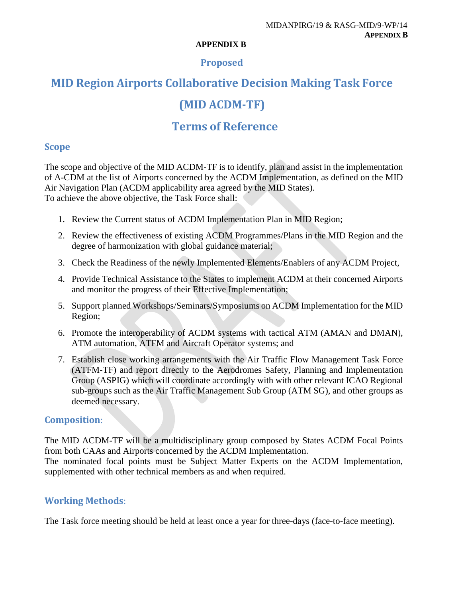#### **APPENDIX B**

## **Proposed**

# **MID Region Airports Collaborative Decision Making Task Force**

# **(MID ACDM-TF)**

# **Terms of Reference**

## **Scope**

The scope and objective of the MID ACDM-TF is to identify, plan and assist in the implementation of A-CDM at the list of Airports concerned by the ACDM Implementation, as defined on the MID Air Navigation Plan (ACDM applicability area agreed by the MID States). To achieve the above objective, the Task Force shall:

- 1. Review the Current status of ACDM Implementation Plan in MID Region;
- 2. Review the effectiveness of existing ACDM Programmes/Plans in the MID Region and the degree of harmonization with global guidance material;
- 3. Check the Readiness of the newly Implemented Elements/Enablers of any ACDM Project,
- 4. Provide Technical Assistance to the States to implement ACDM at their concerned Airports and monitor the progress of their Effective Implementation;
- 5. Support planned Workshops/Seminars/Symposiums on ACDM Implementation for the MID Region;
- 6. Promote the interoperability of ACDM systems with tactical ATM (AMAN and DMAN), ATM automation, ATFM and Aircraft Operator systems; and
- 7. Establish close working arrangements with the Air Traffic Flow Management Task Force (ATFM-TF) and report directly to the Aerodromes Safety, Planning and Implementation Group (ASPIG) which will coordinate accordingly with with other relevant ICAO Regional sub-groups such as the Air Traffic Management Sub Group (ATM SG), and other groups as deemed necessary.

## **Composition**:

The MID ACDM-TF will be a multidisciplinary group composed by States ACDM Focal Points from both CAAs and Airports concerned by the ACDM Implementation.

The nominated focal points must be Subject Matter Experts on the ACDM Implementation, supplemented with other technical members as and when required.

# **Working Methods**:

The Task force meeting should be held at least once a year for three-days (face-to-face meeting).